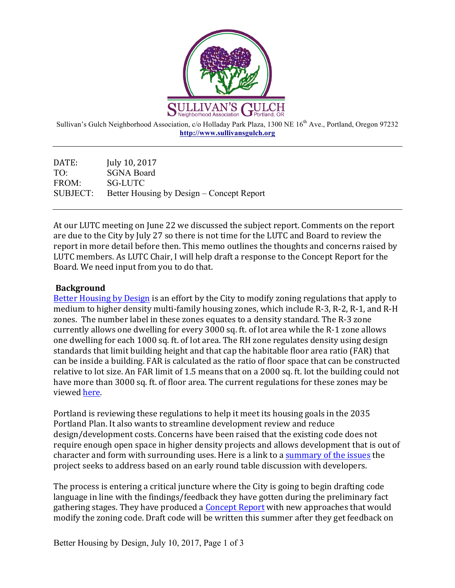

Sullivan's Gulch Neighborhood Association, c/o Holladay Park Plaza, 1300 NE 16<sup>th</sup> Ave., Portland, Oregon 97232 **http://www.sullivansgulch.org**

DATE: July 10, 2017 TO: SGNA Board FROM: SG-LUTC SUBJECT: Better Housing by Design – Concept Report

At our LUTC meeting on June 22 we discussed the subject report. Comments on the report are due to the City by July 27 so there is not time for the LUTC and Board to review the report in more detail before then. This memo outlines the thoughts and concerns raised by LUTC members. As LUTC Chair, I will help draft a response to the Concept Report for the Board. We need input from you to do that.

## **Background**

Better Housing by Design is an effort by the City to modify zoning regulations that apply to medium to higher density multi-family housing zones, which include R-3, R-2, R-1, and R-H zones. The number label in these zones equates to a density standard. The R-3 zone currently allows one dwelling for every 3000 sq. ft. of lot area while the R-1 zone allows one dwelling for each 1000 sq. ft. of lot area. The RH zone regulates density using design standards that limit building height and that cap the habitable floor area ratio (FAR) that can be inside a building. FAR is calculated as the ratio of floor space that can be constructed relative to lot size. An FAR limit of 1.5 means that on a 2000 sq. ft. lot the building could not have more than 3000 sq. ft. of floor area. The current regulations for these zones may be viewed here.

Portland is reviewing these regulations to help it meet its housing goals in the 2035 Portland Plan. It also wants to streamline development review and reduce design/development costs. Concerns have been raised that the existing code does not require enough open space in higher density projects and allows development that is out of character and form with surrounding uses. Here is a link to a summary of the issues the project seeks to address based on an early round table discussion with developers.

The process is entering a critical juncture where the City is going to begin drafting code language in line with the findings/feedback they have gotten during the preliminary fact gathering stages. They have produced a Concept Report with new approaches that would modify the zoning code. Draft code will be written this summer after they get feedback on

Better Housing by Design, July 10, 2017, Page 1 of 3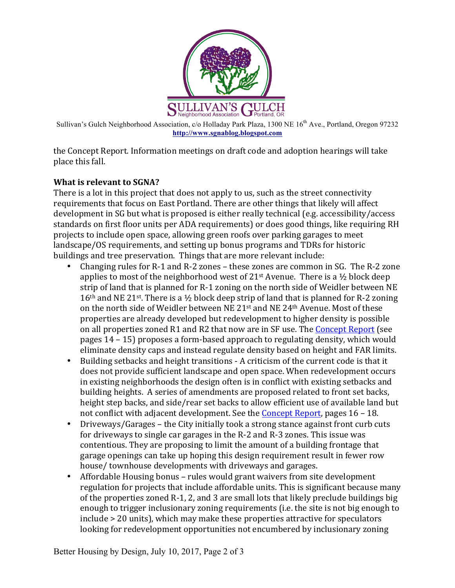

Sullivan's Gulch Neighborhood Association, c/o Holladay Park Plaza, 1300 NE 16<sup>th</sup> Ave., Portland, Oregon 97232 **http://www.sgnablog.blogspot.com**

the Concept Report. Information meetings on draft code and adoption hearings will take place this fall.

## **What is relevant to SGNA?**

There is a lot in this project that does not apply to us, such as the street connectivity requirements that focus on East Portland. There are other things that likely will affect development in SG but what is proposed is either really technical (e.g. accessibility/access standards on first floor units per ADA requirements) or does good things, like requiring RH projects to include open space, allowing green roofs over parking garages to meet landscape/OS requirements, and setting up bonus programs and TDRs for historic buildings and tree preservation. Things that are more relevant include:

- Changing rules for R-1 and R-2 zones these zones are common in SG. The R-2 zone applies to most of the neighborhood west of  $21<sup>st</sup>$  Avenue. There is a  $\frac{1}{2}$  block deep strip of land that is planned for R-1 zoning on the north side of Weidler between NE  $16<sup>th</sup>$  and NE 21<sup>st</sup>. There is a  $\frac{1}{2}$  block deep strip of land that is planned for R-2 zoning on the north side of Weidler between NE 21<sup>st</sup> and NE 24<sup>th</sup> Avenue. Most of these properties are already developed but redevelopment to higher density is possible on all properties zoned R1 and R2 that now are in SF use. The Concept Report (see pages  $14 - 15$ ) proposes a form-based approach to regulating density, which would eliminate density caps and instead regulate density based on height and FAR limits.
- Building setbacks and height transitions A criticism of the current code is that it does not provide sufficient landscape and open space. When redevelopment occurs in existing neighborhoods the design often is in conflict with existing setbacks and building heights. A series of amendments are proposed related to front set backs, height step backs, and side/rear set backs to allow efficient use of available land but not conflict with adjacent development. See the Concept Report, pages  $16 - 18$ .
- Driveways/Garages the City initially took a strong stance against front curb cuts for driveways to single car garages in the R-2 and R-3 zones. This issue was contentious. They are proposing to limit the amount of a building frontage that garage openings can take up hoping this design requirement result in fewer row house/ townhouse developments with driveways and garages.
- Affordable Housing bonus rules would grant waivers from site development regulation for projects that include affordable units. This is significant because many of the properties zoned  $R-1$ , 2, and 3 are small lots that likely preclude buildings big enough to trigger inclusionary zoning requirements (i.e. the site is not big enough to include > 20 units), which may make these properties attractive for speculators looking for redevelopment opportunities not encumbered by inclusionary zoning